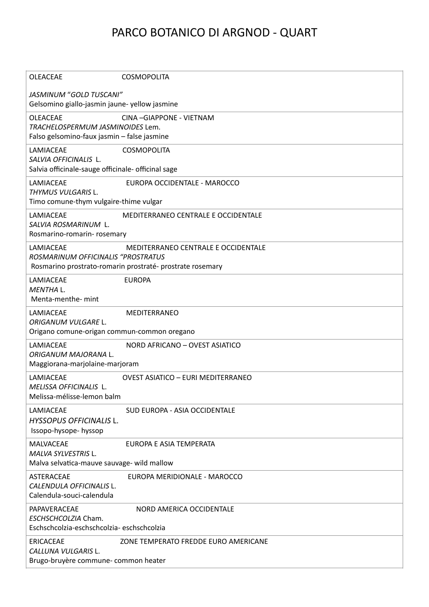## PARCO BOTANICO DI ARGNOD - QUART

| <b>OLEACEAE</b>                                                                                    | <b>COSMOPOLITA</b>                                                                               |
|----------------------------------------------------------------------------------------------------|--------------------------------------------------------------------------------------------------|
| JASMINUM "GOLD TUSCANI"<br>Gelsomino giallo-jasmin jaune- yellow jasmine                           |                                                                                                  |
| <b>OLEACEAE</b><br>TRACHELOSPERMUM JASMINOIDES Lem.<br>Falso gelsomino-faux jasmin - false jasmine | CINA-GIAPPONE - VIETNAM                                                                          |
| LAMIACEAE<br>SALVIA OFFICINALIS L.<br>Salvia officinale-sauge officinale- officinal sage           | <b>COSMOPOLITA</b>                                                                               |
| LAMIACEAE<br>THYMUS VULGARIS L.<br>Timo comune-thym vulgaire-thime vulgar                          | EUROPA OCCIDENTALE - MAROCCO                                                                     |
| LAMIACEAE<br>SALVIA ROSMARINUM L.<br>Rosmarino-romarin-rosemary                                    | MEDITERRANEO CENTRALE E OCCIDENTALE                                                              |
| LAMIACEAE<br>ROSMARINUM OFFICINALIS "PROSTRATUS                                                    | MEDITERRANEO CENTRALE E OCCIDENTALE<br>Rosmarino prostrato-romarin prostraté- prostrate rosemary |
| LAMIACEAE<br>MENTHA L.<br>Menta-menthe- mint                                                       | <b>EUROPA</b>                                                                                    |
| LAMIACEAE<br>ORIGANUM VULGARE L.<br>Origano comune-origan commun-common oregano                    | MEDITERRANEO                                                                                     |
| LAMIACEAE<br>ORIGANUM MAJORANA L.<br>Maggiorana-marjolaine-marjoram                                | NORD AFRICANO - OVEST ASIATICO                                                                   |
| LAMIACEAE<br>MELISSA OFFICINALIS L.<br>Melissa-mélisse-lemon balm                                  | <b>OVEST ASIATICO - EURI MEDITERRANEO</b>                                                        |
| LAMIACEAE<br>HYSSOPUS OFFICINALIS L.<br>Issopo-hysope- hyssop                                      | SUD EUROPA - ASIA OCCIDENTALE                                                                    |
| MALVACEAE<br>MALVA SYLVESTRIS L.<br>Malva selvatica-mauve sauvage- wild mallow                     | EUROPA E ASIA TEMPERATA                                                                          |
| ASTERACEAE<br>CALENDULA OFFICINALIS L.<br>Calendula-souci-calendula                                | EUROPA MERIDIONALE - MAROCCO                                                                     |
| PAPAVERACEAE<br>ESCHSCHCOLZIA Cham.<br>Eschschcolzia-eschschcolzia-eschschcolzia                   | NORD AMERICA OCCIDENTALE                                                                         |
| <b>ERICACEAE</b><br>CALLUNA VULGARIS L.<br>Brugo-bruyère commune- common heater                    | ZONE TEMPERATO FREDDE EURO AMERICANE                                                             |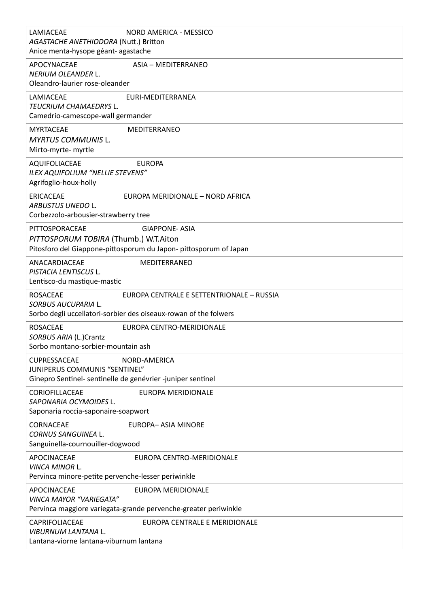| LAMIACEAE<br>NORD AMERICA - MESSICO<br>AGASTACHE ANETHIODORA (Nutt.) Britton<br>Anice menta-hysope géant- agastache                                     |
|---------------------------------------------------------------------------------------------------------------------------------------------------------|
| APOCYNACEAE<br>ASIA - MEDITERRANEO<br>NERIUM OLEANDER L.<br>Oleandro-laurier rose-oleander                                                              |
| LAMIACEAE<br>EURI-MEDITERRANEA<br>TEUCRIUM CHAMAEDRYS L.<br>Camedrio-camescope-wall germander                                                           |
| <b>MYRTACEAE</b><br>MEDITERRANEO<br><b>MYRTUS COMMUNIS L.</b><br>Mirto-myrte- myrtle                                                                    |
| AQUIFOLIACEAE<br><b>EUROPA</b><br>ILEX AQUIFOLIUM "NELLIE STEVENS"<br>Agrifoglio-houx-holly                                                             |
| <b>ERICACEAE</b><br>EUROPA MERIDIONALE - NORD AFRICA<br>ARBUSTUS UNEDO L.<br>Corbezzolo-arbousier-strawberry tree                                       |
| PITTOSPORACEAE<br><b>GIAPPONE- ASIA</b><br>PITTOSPORUM TOBIRA (Thumb.) W.T.Aiton<br>Pitosforo del Giappone-pittosporum du Japon- pittosporum of Japan   |
| ANACARDIACEAE<br>MEDITERRANEO<br>PISTACIA LENTISCUS L.<br>Lentisco-du mastique-mastic                                                                   |
| <b>ROSACEAE</b><br>EUROPA CENTRALE E SETTENTRIONALE - RUSSIA<br>SORBUS AUCUPARIA L.<br>Sorbo degli uccellatori-sorbier des oiseaux-rowan of the folwers |
| <b>ROSACEAE</b><br>EUROPA CENTRO-MERIDIONALE<br>SORBUS ARIA (L.)Crantz<br>Sorbo montano-sorbier-mountain ash                                            |
| <b>CUPRESSACEAE</b><br>NORD-AMERICA<br>JUNIPERUS COMMUNIS "SENTINEL"<br>Ginepro Sentinel- sentinelle de genévrier -juniper sentinel                     |
| CORIOFILLACEAE<br><b>EUROPA MERIDIONALE</b><br>SAPONARIA OCYMOIDES L.<br>Saponaria roccia-saponaire-soapwort                                            |
| CORNACEAE<br>EUROPA- ASIA MINORE<br><b>CORNUS SANGUINEA L.</b><br>Sanguinella-cournouiller-dogwood                                                      |
| APOCINACEAE<br>EUROPA CENTRO-MERIDIONALE<br>VINCA MINOR L.<br>Pervinca minore-petite pervenche-lesser periwinkle                                        |
| APOCINACEAE<br>EUROPA MERIDIONALE<br><b>VINCA MAYOR "VARIEGATA"</b><br>Pervinca maggiore variegata-grande pervenche-greater periwinkle                  |
| CAPRIFOLIACEAE<br>EUROPA CENTRALE E MERIDIONALE<br>VIBURNUM LANTANA L.<br>Lantana-viorne lantana-viburnum lantana                                       |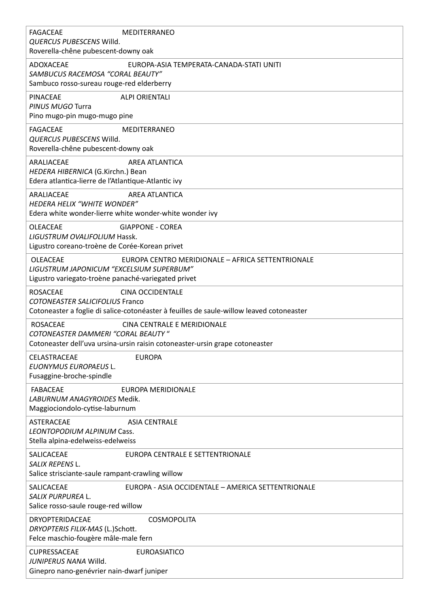| <b>FAGACEAE</b><br><b>MEDITERRANEO</b><br>QUERCUS PUBESCENS Willd.<br>Roverella-chêne pubescent-downy oak                                                                        |
|----------------------------------------------------------------------------------------------------------------------------------------------------------------------------------|
| <b>ADOXACEAE</b><br>EUROPA-ASIA TEMPERATA-CANADA-STATI UNITI<br>SAMBUCUS RACEMOSA "CORAL BEAUTY"<br>Sambuco rosso-sureau rouge-red elderberry                                    |
| <b>PINACEAE</b><br><b>ALPI ORIENTALI</b><br>PINUS MUGO Turra<br>Pino mugo-pin mugo-mugo pine                                                                                     |
| <b>FAGACEAE</b><br><b>MEDITERRANEO</b><br>QUERCUS PUBESCENS Willd.<br>Roverella-chêne pubescent-downy oak                                                                        |
| <b>AREA ATLANTICA</b><br>ARALIACEAE<br>HEDERA HIBERNICA (G.Kirchn.) Bean<br>Edera atlantica-lierre de l'Atlantique-Atlantic ivy                                                  |
| ARALIACEAE<br>AREA ATLANTICA<br>HEDERA HELIX "WHITE WONDER"<br>Edera white wonder-lierre white wonder-white wonder ivy                                                           |
| <b>OLEACEAE</b><br><b>GIAPPONE - COREA</b><br>LIGUSTRUM OVALIFOLIUM Hassk.<br>Ligustro coreano-troène de Corée-Korean privet                                                     |
| <b>OLEACEAE</b><br>EUROPA CENTRO MERIDIONALE - AFRICA SETTENTRIONALE<br>LIGUSTRUM JAPONICUM "EXCELSIUM SUPERBUM"<br>Ligustro variegato-troène panaché-variegated privet          |
| <b>ROSACEAE</b><br><b>CINA OCCIDENTALE</b><br><b>COTONEASTER SALICIFOLIUS Franco</b><br>Cotoneaster a foglie di salice-cotonéaster à feuilles de saule-willow leaved cotoneaster |
| <b>ROSACEAE</b><br>CINA CENTRALE E MERIDIONALE<br><b>COTONEASTER DAMMERI "CORAL BEAUTY"</b><br>Cotoneaster dell'uva ursina-ursin raisin cotoneaster-ursin grape cotoneaster      |
| <b>EUROPA</b><br><b>CELASTRACEAE</b><br><b>EUONYMUS EUROPAEUS L.</b><br>Fusaggine-broche-spindle                                                                                 |
| <b>FABACEAE</b><br>EUROPA MERIDIONALE<br>LABURNUM ANAGYROIDES Medik.<br>Maggiociondolo-cytise-laburnum                                                                           |
| <b>ASTERACEAE</b><br><b>ASIA CENTRALE</b><br>LEONTOPODIUM ALPINUM Cass.<br>Stella alpina-edelweiss-edelweiss                                                                     |
| SALICACEAE<br>EUROPA CENTRALE E SETTENTRIONALE<br>SALIX REPENS L.<br>Salice strisciante-saule rampant-crawling willow                                                            |
| SALICACEAE<br>EUROPA - ASIA OCCIDENTALE - AMERICA SETTENTRIONALE<br>SALIX PURPUREA L.<br>Salice rosso-saule rouge-red willow                                                     |
| DRYOPTERIDACEAE<br><b>COSMOPOLITA</b><br>DRYOPTERIS FILIX-MAS (L.)Schott.<br>Felce maschio-fougère mâle-male fern                                                                |
| <b>CUPRESSACEAE</b><br><b>EUROASIATICO</b><br>JUNIPERUS NANA Willd.<br>Ginepro nano-genévrier nain-dwarf juniper                                                                 |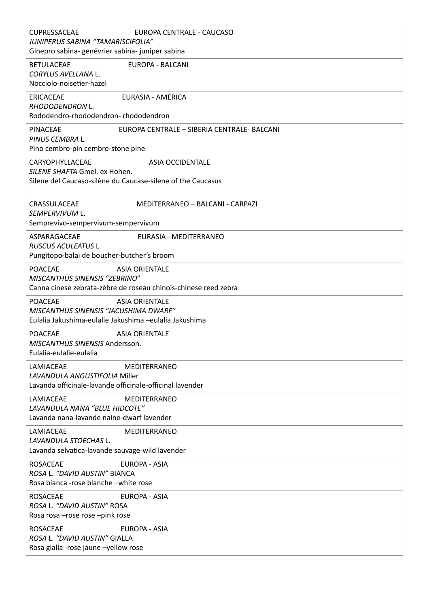| <b>CUPRESSACEAE</b><br>EUROPA CENTRALE - CAUCASO<br>JUNIPERUS SABINA "TAMARISCIFOLIA"<br>Ginepro sabina- genévrier sabina- juniper sabina          |
|----------------------------------------------------------------------------------------------------------------------------------------------------|
| <b>BETULACEAE</b><br>EUROPA - BALCANI<br>CORYLUS AVELLANA L.<br>Nocciolo-noisetier-hazel                                                           |
| <b>ERICACEAE</b><br><b>EURASIA - AMERICA</b><br>RHODODENDRON L.<br>Rododendro-rhododendron-rhododendron                                            |
| <b>PINACEAE</b><br>EUROPA CENTRALE - SIBERIA CENTRALE- BALCANI<br>PINUS CEMBRA L.<br>Pino cembro-pin cembro-stone pine                             |
| CARYOPHYLLACEAE<br><b>ASIA OCCIDENTALE</b><br>SILENE SHAFTA Gmel. ex Hohen.<br>Silene del Caucaso-silène du Caucase-silene of the Caucasus         |
| CRASSULACEAE<br>MEDITERRANEO - BALCANI - CARPAZI<br>SEMPERVIVUM L.<br>Semprevivo-sempervivum-sempervivum                                           |
| ASPARAGACEAE<br>EURASIA- MEDITERRANEO<br>RUSCUS ACULEATUS L.<br>Pungitopo-balai de boucher-butcher's broom                                         |
| <b>POACEAE</b><br><b>ASIA ORIENTALE</b><br><b>MISCANTHUS SINENSIS "ZEBRINO"</b><br>Canna cinese zebrata-zèbre de roseau chinois-chinese reed zebra |
| <b>POACEAE</b><br><b>ASIA ORIENTALE</b><br>MISCANTHUS SINENSIS "JACUSHIMA DWARF"<br>Eulalia Jakushima-eulalie Jakushima -eulalia Jakushima         |
| <b>POACEAE</b><br><b>ASIA ORIENTALE</b><br>MISCANTHUS SINENSIS Andersson.<br>Eulalia-eulalie-eulalia                                               |
| LAMIACEAE<br><b>MEDITERRANEO</b><br>LAVANDULA ANGUSTIFOLIA Miller<br>Lavanda officinale-lavande officinale-officinal lavender                      |
| LAMIACEAE<br><b>MEDITERRANEO</b><br>LAVANDULA NANA "BLUE HIDCOTE"<br>Lavanda nana-lavande naine-dwarf lavender                                     |
| LAMIACEAE<br><b>MEDITERRANEO</b><br>LAVANDULA STOECHAS L.<br>Lavanda selvatica-lavande sauvage-wild lavender                                       |
| <b>ROSACEAE</b><br><b>EUROPA - ASIA</b><br>ROSA L. "DAVID AUSTIN" BIANCA<br>Rosa bianca -rose blanche -white rose                                  |
| <b>EUROPA - ASIA</b><br><b>ROSACEAE</b><br>ROSA L. "DAVID AUSTIN" ROSA<br>Rosa rosa - rose rose - pink rose                                        |
| <b>ROSACEAE</b><br><b>EUROPA - ASIA</b><br>ROSA L. "DAVID AUSTIN" GIALLA<br>Rosa gialla -rose jaune -yellow rose                                   |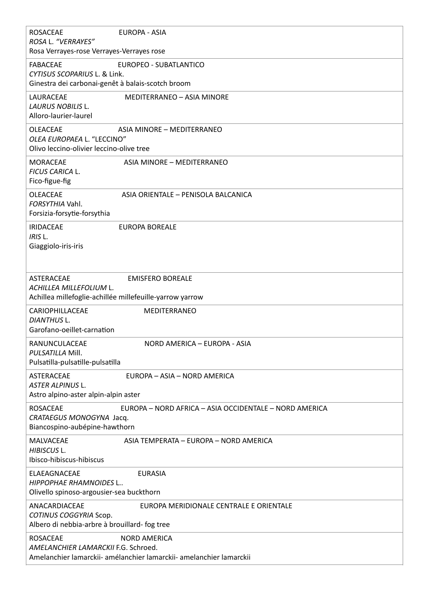| <b>ROSACEAE</b><br>EUROPA - ASIA<br>ROSA L. "VERRAYES"<br>Rosa Verrayes-rose Verrayes-Verrayes rose                                                  |
|------------------------------------------------------------------------------------------------------------------------------------------------------|
| <b>FABACEAE</b><br>EUROPEO - SUBATLANTICO<br>CYTISUS SCOPARIUS L. & Link.<br>Ginestra dei carbonai-genêt à balais-scotch broom                       |
| LAURACEAE<br><b>MEDITERRANEO - ASIA MINORE</b><br>LAURUS NOBILIS L.<br>Alloro-laurier-laurel                                                         |
| OLEACEAE<br>ASIA MINORE - MEDITERRANEO<br>OLEA EUROPAEA L. "LECCINO"<br>Olivo leccino-olivier leccino-olive tree                                     |
| <b>MORACEAE</b><br>ASIA MINORE - MEDITERRANEO<br>FICUS CARICA L.<br>Fico-figue-fig                                                                   |
| OLEACEAE<br>ASIA ORIENTALE - PENISOLA BALCANICA<br>FORSYTHIA Vahl.<br>Forsizia-forsytie-forsythia                                                    |
| <b>IRIDACEAE</b><br><b>EUROPA BOREALE</b><br>IRIS L.<br>Giaggiolo-iris-iris                                                                          |
| ASTERACEAE<br><b>EMISFERO BOREALE</b><br>ACHILLEA MILLEFOLIUM L.<br>Achillea millefoglie-achillée millefeuille-yarrow yarrow                         |
| CARIOPHILLACEAE<br>MEDITERRANEO<br>DIANTHUS L.<br>Garofano-oeillet-carnation                                                                         |
| RANUNCULACEAE<br>NORD AMERICA - EUROPA - ASIA<br>PULSATILLA Mill.<br>Pulsatilla-pulsatille-pulsatilla                                                |
| ASTERACEAE<br>EUROPA - ASIA - NORD AMERICA<br><b>ASTER ALPINUS L.</b><br>Astro alpino-aster alpin-alpin aster                                        |
| <b>ROSACEAE</b><br>EUROPA - NORD AFRICA - ASIA OCCIDENTALE - NORD AMERICA<br>CRATAEGUS MONOGYNA Jacq.<br>Biancospino-aubépine-hawthorn               |
| MALVACEAE<br>ASIA TEMPERATA - EUROPA - NORD AMERICA<br>HIBISCUS L.<br>Ibisco-hibiscus-hibiscus                                                       |
| ELAEAGNACEAE<br><b>EURASIA</b><br>HIPPOPHAE RHAMNOIDES L<br>Olivello spinoso-argousier-sea buckthorn                                                 |
| ANACARDIACEAE<br>EUROPA MERIDIONALE CENTRALE E ORIENTALE<br>COTINUS COGGYRIA Scop.<br>Albero di nebbia-arbre à brouillard- fog tree                  |
| <b>ROSACEAE</b><br><b>NORD AMERICA</b><br>AMELANCHIER LAMARCKII F.G. Schroed.<br>Amelanchier lamarckii- amélanchier lamarckii- amelanchier lamarckii |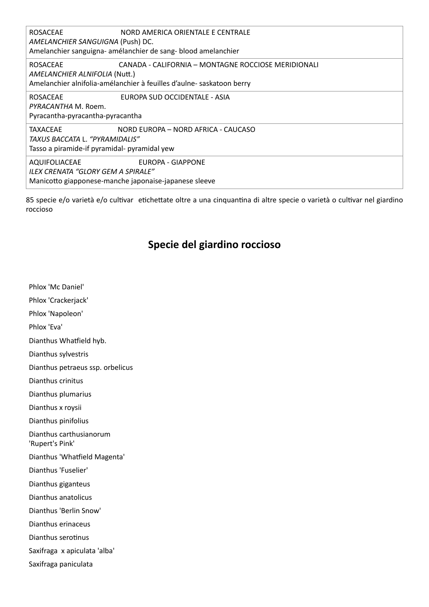| <b>ROSACEAE</b><br>NORD AMERICA ORIENTALE E CENTRALE<br>AMELANCHIER SANGUIGNA (Push) DC.<br>Amelanchier sanguigna- amélanchier de sang-blood amelanchier                         |
|----------------------------------------------------------------------------------------------------------------------------------------------------------------------------------|
| CANADA - CALIFORNIA - MONTAGNE ROCCIOSE MERIDIONALI<br><b>ROSACEAE</b><br>AMELANCHIER ALNIFOLIA (Nutt.)<br>Amelanchier alnifolia-amélanchier à feuilles d'aulne- saskatoon berry |
| EUROPA SUD OCCIDENTALE - ASIA<br><b>ROSACEAE</b><br>PYRACANTHA M. Roem.<br>Pyracantha-pyracantha-pyracantha                                                                      |
| <b>TAXACEAE</b><br>NORD EUROPA - NORD AFRICA - CAUCASO<br>TAXUS BACCATA L. "PYRAMIDALIS"<br>Tasso a piramide-if pyramidal- pyramidal yew                                         |
| EUROPA - GIAPPONE<br>AQUIFOLIACEAE<br>ILEX CRENATA "GLORY GEM A SPIRALE"<br>Manicotto giapponese-manche japonaise-japanese sleeve                                                |

85 specie e/o varietà e/o cultivar etichettate oltre a una cinquantina di altre specie o varietà o cultivar nel giardino roccioso

## **Specie del giardino roccioso**

Phlox 'Mc Daniel'

Phlox 'Crackerjack'

Phlox 'Napoleon'

Phlox 'Eva'

Dianthus Whatfield hyb.

Dianthus sylvestris

Dianthus petraeus ssp. orbelicus

Dianthus crinitus

Dianthus plumarius

Dianthus x roysii

Dianthus pinifolius

Dianthus carthusianorum

'Rupert's Pink'

Dianthus 'Whatfield Magenta'

Dianthus 'Fuselier'

Dianthus giganteus

Dianthus anatolicus

Dianthus 'Berlin Snow'

Dianthus erinaceus

Dianthus serotinus

Saxifraga x apiculata 'alba'

Saxifraga paniculata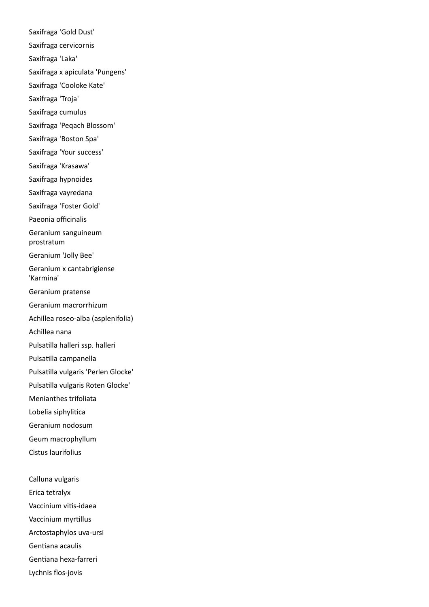Saxifraga 'Gold Dust' Saxifraga cervicornis Saxifraga 'Laka' Saxifraga x apiculata 'Pungens' Saxifraga 'Cooloke Kate' Saxifraga 'Troja' Saxifraga cumulus Saxifraga 'Peqach Blossom' Saxifraga 'Boston Spa' Saxifraga 'Your success' Saxifraga 'Krasawa' Saxifraga hypnoides Saxifraga vayredana Saxifraga 'Foster Gold' Paeonia officinalis Geranium sanguineum prostratum Geranium 'Jolly Bee' Geranium x cantabrigiense 'Karmina' Geranium pratense Geranium macrorrhizum Achillea roseo-alba (asplenifolia) Achillea nana Pulsatilla halleri ssp. halleri Pulsatilla campanella Pulsatilla vulgaris 'Perlen Glocke' Pulsatilla vulgaris Roten Glocke' Menianthes trifoliata Lobelia siphylitica Geranium nodosum Geum macrophyllum Cistus laurifolius Calluna vulgaris Erica tetralyx Vaccinium vitis-idaea Vaccinium myrtillus

Arctostaphylos uva-ursi

Gentiana acaulis

Gentiana hexa-farreri

Lychnis flos-jovis